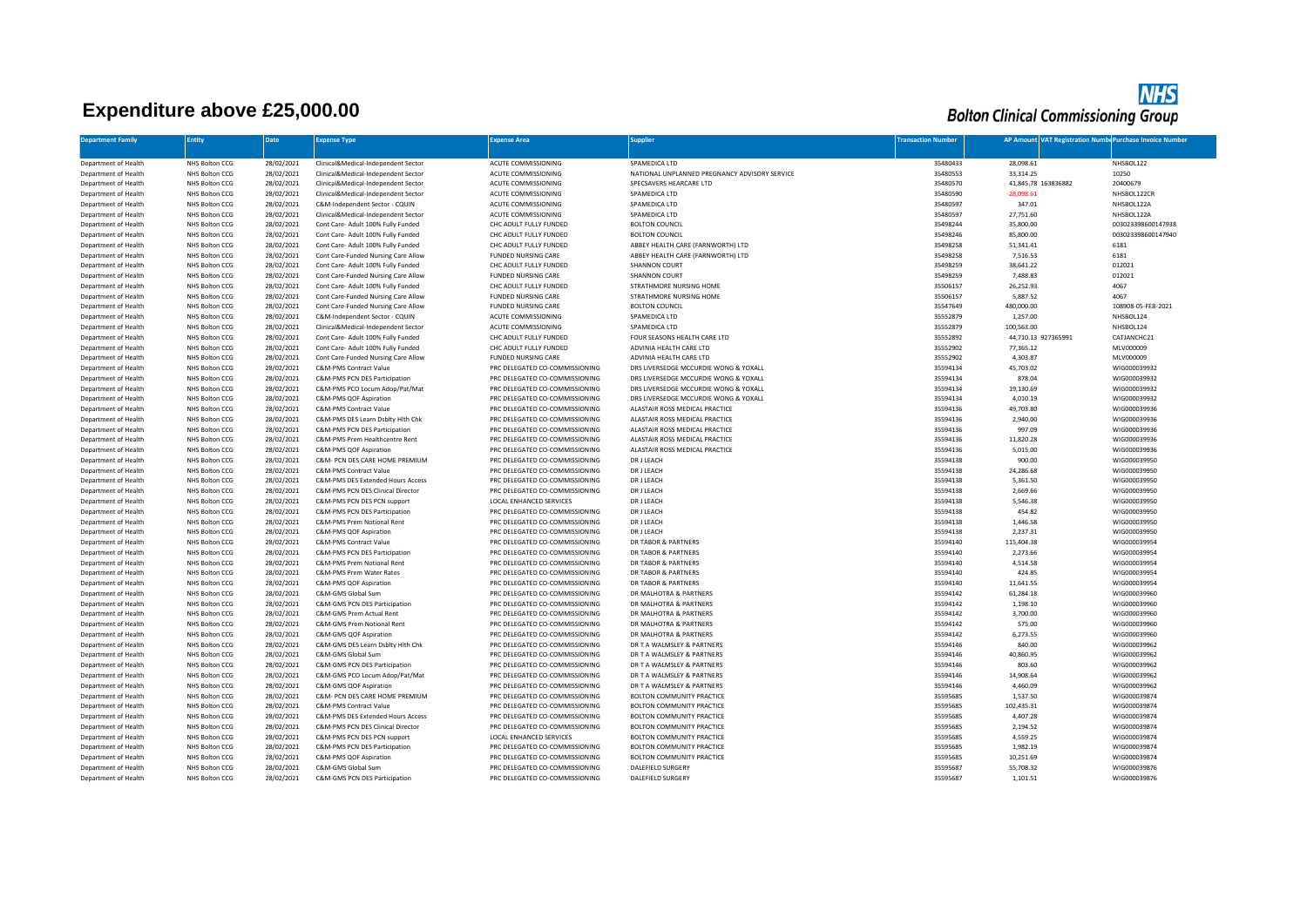## **Expenditure above £25,000.00**

**NHS**<br>Bolton Clinical Commissioning Group

| <b>Department Family</b>                     | Entity                           | <b>Date</b>              | <b>Expense Type</b>                                                       | <b>Expense Area</b>                                              | <b>Supplier</b>                                                      | <b>Fransaction Number</b> | AP Amount VAT Registration Number Purchase Invoice Number |                              |
|----------------------------------------------|----------------------------------|--------------------------|---------------------------------------------------------------------------|------------------------------------------------------------------|----------------------------------------------------------------------|---------------------------|-----------------------------------------------------------|------------------------------|
| Department of Health                         | NHS Bolton CCG                   | 28/02/2021               | Clinical&Medical-Independent Sector                                       | ACUTE COMMISSIONING                                              | SPAMEDICA LTD                                                        | 35480433                  | 28,098.61                                                 | NHSBOL122                    |
| Department of Health                         | NHS Bolton CCG                   | 28/02/2021               | Clinical&Medical-Independent Sector                                       | ACUTE COMMISSIONING                                              | NATIONAL UNPLANNED PREGNANCY ADVISORY SERVICE                        | 35480553                  | 33,314.25                                                 | 10250                        |
| Department of Health                         | NHS Bolton CCG                   | 28/02/2021               | Clinical&Medical-Independent Sector                                       | ACUTE COMMISSIONING                                              | SPECSAVERS HEARCARE LTD                                              | 35480570                  | 41,845.78 163836882                                       | 20400679                     |
| Department of Health                         | NHS Bolton CCG                   | 28/02/2021               | Clinical&Medical-Independent Sector                                       | ACUTE COMMISSIONING                                              | SPAMEDICA LTD                                                        | 35480590                  | $-28,098.61$                                              | NHSBOL122CR                  |
| Department of Health                         | NHS Bolton CCG                   | 28/02/2021               | C&M-Independent Sector - CQUIN                                            | ACUTE COMMISSIONING                                              | SPAMEDICA LTD                                                        | 35480597                  | 347.01                                                    | NHSBOL122A                   |
| Department of Health                         | NHS Bolton CCG                   | 28/02/2021               | Clinical&Medical-Independent Sector                                       | ACUTE COMMISSIONING                                              | SPAMEDICA LTD                                                        | 35480597                  | 27,751.60                                                 | NHSBOL122A                   |
| Department of Health                         | NHS Bolton CCG                   | 28/02/2021               | Cont Care- Adult 100% Fully Funded                                        | CHC ADULT FULLY FUNDED                                           | <b>BOLTON COUNCIL</b>                                                | 35498244                  | 35,800.00                                                 | 003023398600147938           |
| Department of Health                         | NHS Bolton CCG                   | 28/02/2021               | Cont Care- Adult 100% Fully Funded                                        | CHC ADULT FULLY FUNDED                                           | <b>BOLTON COUNCIL</b>                                                | 35498246                  | 85,800.00                                                 | 003023398600147940           |
| Department of Health                         | NHS Bolton CCG                   | 28/02/2021               | Cont Care- Adult 100% Fully Funded                                        | CHC ADULT FULLY FUNDED                                           | ABBEY HEALTH CARE (FARNWORTH) LTD                                    | 35498258                  | 51,341.41                                                 | 6181                         |
| Department of Health                         | NHS Bolton CCG                   | 28/02/2021               | Cont Care-Funded Nursing Care Allow                                       | <b>FUNDED NURSING CARE</b>                                       | ABBEY HEALTH CARE (FARNWORTH) LTD                                    | 35498258                  | 7,516.53                                                  | 6181                         |
| Department of Health                         | NHS Bolton CCG                   | 28/02/2021               | Cont Care- Adult 100% Fully Funded                                        | CHC ADULT FULLY FUNDED                                           | SHANNON COURT                                                        | 35498259                  | 38,641.22                                                 | 012021                       |
| Department of Health                         | NHS Bolton CCG                   | 28/02/2021               | Cont Care-Funded Nursing Care Allow                                       | <b>FUNDED NURSING CARE</b>                                       | SHANNON COURT                                                        | 35498259                  | 7,488.83                                                  | 012021                       |
| Department of Health                         | NHS Bolton CCG                   | 28/02/2021               | Cont Care- Adult 100% Fully Funded                                        | CHC ADULT FULLY FUNDED                                           | STRATHMORE NURSING HOME                                              | 35506157                  | 26,252.93                                                 | 4067                         |
| Department of Health                         | NHS Bolton CCG                   | 28/02/2021               | Cont Care-Funded Nursing Care Allow                                       | <b>FUNDED NURSING CARE</b>                                       | STRATHMORE NURSING HOME                                              | 35506157                  | 5,887.52                                                  | 4067                         |
| Department of Health                         | NHS Bolton CCG                   | 28/02/2021               | Cont Care-Funded Nursing Care Allow                                       | <b>FUNDED NURSING CARE</b>                                       | <b>BOLTON COUNCIL</b>                                                | 35547649                  | 480,000.00                                                | 108908-05-FEB-2021           |
| Department of Health                         | NHS Bolton CCG                   | 28/02/2021               | C&M-Independent Sector - CQUIN                                            | ACUTE COMMISSIONING                                              | SPAMEDICA LTD                                                        | 35552879                  | 1,257.00                                                  | NHSBOL124                    |
| Department of Health<br>Department of Health | NHS Bolton CCG<br>NHS Bolton CCG | 28/02/2021<br>28/02/2021 | Clinical&Medical-Independent Sector<br>Cont Care- Adult 100% Fully Funded | ACUTE COMMISSIONING<br>CHC ADULT FULLY FUNDED                    | SPAMEDICA LTD<br>FOUR SEASONS HEALTH CARE LTD                        | 35552879<br>35552892      | 100,563.00<br>44,710.13 927365991                         | NHSBOL124<br>CATJANCHC21     |
| Department of Health                         | NHS Bolton CCG                   | 28/02/2021               | Cont Care- Adult 100% Fully Funded                                        | CHC ADULT FULLY FUNDED                                           | ADVINIA HEALTH CARE LTD                                              | 35552902                  | 77,365.12                                                 | MLV000009                    |
| Department of Health                         | NHS Bolton CCG                   | 28/02/2021               | Cont Care-Funded Nursing Care Allow                                       | FUNDED NURSING CARE                                              | ADVINIA HEALTH CARE LTD                                              | 35552902                  | 4,303.87                                                  | MLV000009                    |
| Department of Health                         | NHS Bolton CCG                   | 28/02/2021               | C&M-PMS Contract Value                                                    | PRC DELEGATED CO-COMMISSIONING                                   | DRS LIVERSEDGE MCCURDIE WONG & YOXALL                                | 35594134                  | 45,703.02                                                 | WIG000039932                 |
| Department of Health                         | NHS Bolton CCG                   | 28/02/2021               | C&M-PMS PCN DES Participation                                             | PRC DELEGATED CO-COMMISSIONING                                   | DRS LIVERSEDGE MCCURDIE WONG & YOXALL                                | 35594134                  | 878.04                                                    | WIG000039932                 |
| Department of Health                         | NHS Bolton CCG                   | 28/02/2021               | C&M-PMS PCO Locum Adop/Pat/Mat                                            | PRC DELEGATED CO-COMMISSIONING                                   | DRS LIVERSEDGE MCCURDIE WONG & YOXALL                                | 35594134                  | 19,130.69                                                 | WIG000039932                 |
| Department of Health                         | NHS Bolton CCG                   | 28/02/2021               | C&M-PMS QOF Aspiration                                                    | PRC DELEGATED CO-COMMISSIONING                                   | DRS LIVERSEDGE MCCURDIE WONG & YOXALL                                | 35594134                  | 4,010.19                                                  | WIG000039932                 |
| Department of Health                         | NHS Bolton CCG                   | 28/02/2021               | C&M-PMS Contract Value                                                    | PRC DELEGATED CO-COMMISSIONING                                   | ALASTAIR ROSS MEDICAL PRACTICE                                       | 35594136                  | 49,703.80                                                 | WIG000039936                 |
| Department of Health                         | NHS Bolton CCG                   | 28/02/2021               | C&M-PMS DES Learn Dsblty Hlth Chk                                         | PRC DELEGATED CO-COMMISSIONING                                   | ALASTAIR ROSS MEDICAL PRACTICE                                       | 35594136                  | 2,940.00                                                  | WIG000039936                 |
| Department of Health                         | NHS Bolton CCG                   | 28/02/2021               | C&M-PMS PCN DES Participation                                             | PRC DELEGATED CO-COMMISSIONING                                   | ALASTAIR ROSS MEDICAL PRACTICE                                       | 35594136                  | 997.09                                                    | WIG000039936                 |
| Department of Health                         | NHS Bolton CCG                   | 28/02/2021               | C&M-PMS Prem Healthcentre Rent                                            | PRC DELEGATED CO-COMMISSIONING                                   | ALASTAIR ROSS MEDICAL PRACTICE                                       | 35594136                  | 11,820.28                                                 | WIG000039936                 |
| Department of Health                         | NHS Bolton CCG                   | 28/02/2021               | C&M-PMS QOF Aspiration                                                    | PRC DELEGATED CO-COMMISSIONING                                   | ALASTAIR ROSS MEDICAL PRACTICE                                       | 35594136                  | 5,015.00                                                  | WIG000039936                 |
| Department of Health                         | NHS Bolton CCG                   | 28/02/2021               | C&M- PCN DES CARE HOME PREMIUM                                            | PRC DELEGATED CO-COMMISSIONING                                   | DR J LEACH                                                           | 35594138                  | 900.00                                                    | WIG000039950                 |
| Department of Health                         | NHS Bolton CCG                   | 28/02/2021               | C&M-PMS Contract Value                                                    | PRC DELEGATED CO-COMMISSIONING                                   | DR J LEACH                                                           | 35594138                  | 24,286.68                                                 | WIG000039950                 |
| Department of Health                         | NHS Bolton CCG                   | 28/02/2021               | C&M-PMS DES Extended Hours Access                                         | PRC DELEGATED CO-COMMISSIONING                                   | DR J LEACH                                                           | 35594138                  | 5,361.50                                                  | WIG000039950                 |
| Department of Health                         | NHS Bolton CCG                   | 28/02/2021               | C&M-PMS PCN DES Clinical Director                                         | PRC DELEGATED CO-COMMISSIONING                                   | DR J LEACH                                                           | 35594138                  | 2,669.66                                                  | WIG000039950                 |
| Department of Health                         | NHS Bolton CCG                   | 28/02/2021               | C&M-PMS PCN DES PCN support                                               | LOCAL ENHANCED SERVICES                                          | DR J LEACH                                                           | 35594138                  | 5,546.38                                                  | WIG000039950                 |
| Department of Health                         | NHS Bolton CCG                   | 28/02/2021               | C&M-PMS PCN DES Participation                                             | PRC DELEGATED CO-COMMISSIONING                                   | DR J LEACH                                                           | 35594138                  | 454.82                                                    | WIG000039950                 |
| Department of Health                         | NHS Bolton CCG                   | 28/02/2021               | C&M-PMS Prem Notional Rent                                                | PRC DELEGATED CO-COMMISSIONING                                   | DR J LEACH                                                           | 35594138                  | 1,446.58                                                  | WIG000039950                 |
| Department of Health                         | NHS Bolton CCG                   | 28/02/2021               | C&M-PMS QOF Aspiration                                                    | PRC DELEGATED CO-COMMISSIONING                                   | DR J LEACH                                                           | 35594138                  | 2,237.31                                                  | WIG000039950                 |
| Department of Health                         | NHS Bolton CCG                   | 28/02/2021               | <b>C&amp;M-PMS Contract Value</b>                                         | PRC DELEGATED CO-COMMISSIONING                                   | <b>DR TABOR &amp; PARTNERS</b>                                       | 35594140                  | 115,404.38                                                | WIG000039954                 |
| Department of Health                         | NHS Bolton CCG                   | 28/02/2021               | C&M-PMS PCN DES Participation                                             | PRC DELEGATED CO-COMMISSIONING                                   | DR TABOR & PARTNERS                                                  | 35594140                  | 2,273.66                                                  | WIG000039954                 |
| Department of Health                         | NHS Bolton CCG                   | 28/02/2021               | C&M-PMS Prem Notional Rent                                                | PRC DELEGATED CO-COMMISSIONING                                   | DR TABOR & PARTNERS                                                  | 35594140                  | 4,514.58                                                  | WIG000039954                 |
| Department of Health                         | NHS Bolton CCG                   | 28/02/2021               | C&M-PMS Prem Water Rates                                                  | PRC DELEGATED CO-COMMISSIONING                                   | DR TABOR & PARTNERS                                                  | 35594140                  | 424.85                                                    | WIG000039954                 |
| Department of Health                         | NHS Bolton CCG                   | 28/02/2021               | C&M-PMS QOF Aspiration                                                    | PRC DELEGATED CO-COMMISSIONING                                   | DR TABOR & PARTNERS                                                  | 35594140                  | 11,641.55                                                 | WIG000039954                 |
| Department of Health                         | NHS Bolton CCG                   | 28/02/2021               | C&M-GMS Global Sum                                                        | PRC DELEGATED CO-COMMISSIONING                                   | DR MALHOTRA & PARTNERS                                               | 35594142                  | 61,284.18                                                 | WIG000039960                 |
| Department of Health                         | NHS Bolton CCG                   | 28/02/2021               | C&M-GMS PCN DES Participation                                             | PRC DELEGATED CO-COMMISSIONING                                   | DR MALHOTRA & PARTNERS                                               | 35594142                  | 1,198.10                                                  | WIG000039960                 |
| Department of Health                         | NHS Bolton CCG                   | 28/02/2021               | C&M-GMS Prem Actual Rent                                                  | PRC DELEGATED CO-COMMISSIONING                                   | DR MALHOTRA & PARTNERS                                               | 35594142                  | 3,700.00                                                  | WIG000039960                 |
| Department of Health                         | NHS Bolton CCG                   | 28/02/2021               | C&M-GMS Prem Notional Rent                                                | PRC DELEGATED CO-COMMISSIONING                                   | DR MALHOTRA & PARTNERS                                               | 35594142                  | 575.00                                                    | WIG000039960                 |
| Department of Health                         | NHS Bolton CCG                   | 28/02/2021               | C&M-GMS QOF Aspiration                                                    | PRC DELEGATED CO-COMMISSIONING                                   | DR MALHOTRA & PARTNERS                                               | 35594142                  | 6,273.55                                                  | WIG000039960                 |
| Department of Health                         | NHS Bolton CCG                   | 28/02/2021               | C&M-GMS DES Learn Dsblty Hlth Chk                                         | PRC DELEGATED CO-COMMISSIONING                                   | DR T A WALMSLEY & PARTNERS                                           | 35594146                  | 840.00                                                    | WIG000039962                 |
| Department of Health                         | NHS Bolton CCG                   | 28/02/2021               | C&M-GMS Global Sum                                                        | PRC DELEGATED CO-COMMISSIONING                                   | DR T A WALMSLEY & PARTNERS                                           | 35594146                  | 40,860.95                                                 | WIG000039962                 |
| Department of Health                         | NHS Bolton CCG                   | 28/02/2021               | C&M-GMS PCN DES Participation                                             | PRC DELEGATED CO-COMMISSIONING                                   | DR T A WALMSLEY & PARTNERS                                           | 35594146                  | 803.60                                                    | WIG000039962                 |
| Department of Health                         | NHS Bolton CCG                   | 28/02/2021               | C&M-GMS PCO Locum Adop/Pat/Mat                                            | PRC DELEGATED CO-COMMISSIONING                                   | DR T A WALMSLEY & PARTNERS                                           | 35594146                  | 14,908.64                                                 | WIG000039962                 |
| Department of Health                         | NHS Bolton CCG                   | 28/02/2021               | C&M-GMS QOF Aspiration                                                    | PRC DELEGATED CO-COMMISSIONING                                   | DR T A WALMSLEY & PARTNERS                                           | 35594146                  | 4,460.09                                                  | WIG000039962                 |
| Department of Health                         | NHS Bolton CCG                   | 28/02/2021<br>28/02/2021 | C&M- PCN DES CARE HOME PREMIUM<br><b>C&amp;M-PMS Contract Value</b>       | PRC DELEGATED CO-COMMISSIONING<br>PRC DELEGATED CO-COMMISSIONING | BOLTON COMMUNITY PRACTICE<br><b>BOLTON COMMUNITY PRACTICE</b>        | 35595685<br>35595685      | 1,537.50                                                  | WIG000039874<br>WIG000039874 |
| Department of Health                         | NHS Bolton CCG                   |                          |                                                                           |                                                                  |                                                                      |                           | 102,435.31                                                |                              |
| Department of Health                         | NHS Bolton CCG                   | 28/02/2021               | C&M-PMS DES Extended Hours Access                                         | PRC DELEGATED CO-COMMISSIONING                                   | <b>BOLTON COMMUNITY PRACTICE</b>                                     | 35595685                  | 4,407.28                                                  | WIG000039874                 |
| Department of Health<br>Department of Health | NHS Bolton CCG<br>NHS Bolton CCG | 28/02/2021<br>28/02/2021 | C&M-PMS PCN DES Clinical Director<br>C&M-PMS PCN DES PCN support          | PRC DELEGATED CO-COMMISSIONING<br>LOCAL ENHANCED SERVICES        | <b>BOLTON COMMUNITY PRACTICE</b><br><b>BOLTON COMMUNITY PRACTICE</b> | 35595685<br>35595685      | 2,194.52<br>4,559.25                                      | WIG000039874<br>WIG000039874 |
| Department of Health                         | NHS Bolton CCG                   | 28/02/2021               | C&M-PMS PCN DES Participation                                             | PRC DELEGATED CO-COMMISSIONING                                   | <b>BOLTON COMMUNITY PRACTICE</b>                                     | 35595685                  | 1,982.19                                                  | WIG000039874                 |
| Department of Health                         | NHS Bolton CCG                   | 28/02/2021               | C&M-PMS QOF Aspiration                                                    | PRC DELEGATED CO-COMMISSIONING                                   | <b>BOLTON COMMUNITY PRACTICE</b>                                     | 35595685                  | 10,251.69                                                 | WIG000039874                 |
| Department of Health                         | NHS Bolton CCG                   | 28/02/2021               | C&M-GMS Global Sum                                                        | PRC DELEGATED CO-COMMISSIONING                                   | <b>DALEFIELD SURGERY</b>                                             | 35595687                  | 55,708.32                                                 | WIG000039876                 |
| Department of Health                         | NHS Bolton CCG                   | 28/02/2021               | C&M-GMS PCN DES Participation                                             | PRC DELEGATED CO-COMMISSIONING                                   | DALEFIELD SURGERY                                                    | 35595687                  | 1,101.51                                                  | WIG000039876                 |
|                                              |                                  |                          |                                                                           |                                                                  |                                                                      |                           |                                                           |                              |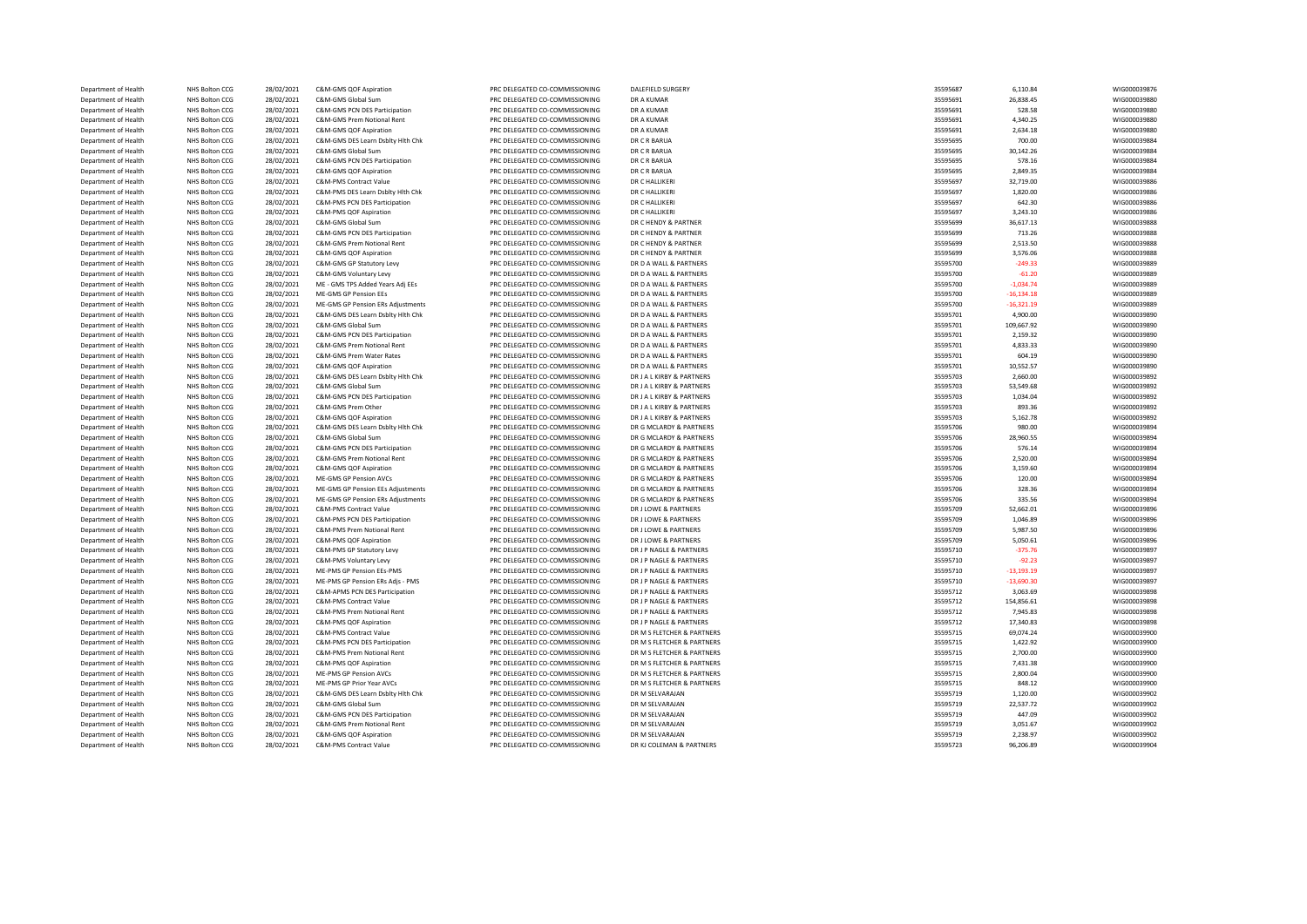| Department of Health                         | <b>NHS Bolton CCG</b>            | 28/02/2021               | C&M-GMS QOF Aspiration                                  | PRC DELEGATED CO-COMMISSIONING                                   | DALEFIELD SURGERY                                      | 35595687             | 6,110.84              | WIG000039876                 |
|----------------------------------------------|----------------------------------|--------------------------|---------------------------------------------------------|------------------------------------------------------------------|--------------------------------------------------------|----------------------|-----------------------|------------------------------|
| Department of Health                         | NHS Bolton CCG                   | 28/02/2021               | C&M-GMS Global Sum                                      | PRC DELEGATED CO-COMMISSIONING                                   | DR A KUMAR                                             | 35595691             | 26,838.45             | WIG000039880                 |
| Department of Health                         | NHS Bolton CCG                   | 28/02/2021               | C&M-GMS PCN DES Participation                           | PRC DELEGATED CO-COMMISSIONING                                   | DR A KUMAR                                             | 35595691             | 528.58                | WIG000039880                 |
| Department of Health                         | NHS Bolton CCG                   | 28/02/2021               | C&M-GMS Prem Notional Rent                              | PRC DELEGATED CO-COMMISSIONING                                   | DR A KUMAR                                             | 35595691             | 4,340.25              | WIG000039880                 |
| Department of Health                         | NHS Bolton CCG                   | 28/02/2021               | C&M-GMS QOF Aspiration                                  | PRC DELEGATED CO-COMMISSIONING                                   | DR A KUMAR                                             | 35595691             | 2,634.18              | WIG000039880                 |
| Department of Health                         | NHS Bolton CCG                   | 28/02/2021               | C&M-GMS DES Learn Dsblty Hlth Chk                       | PRC DELEGATED CO-COMMISSIONING                                   | DR C R BARUA                                           | 35595695             | 700.00                | WIG000039884                 |
| Department of Health                         | NHS Bolton CCG                   | 28/02/2021               | C&M-GMS Global Sum                                      | PRC DELEGATED CO-COMMISSIONING                                   | DR C R BARUA                                           | 35595695             | 30,142.26             | WIG000039884                 |
| Department of Health                         | NHS Bolton CCG                   | 28/02/2021               | C&M-GMS PCN DES Participation                           | PRC DELEGATED CO-COMMISSIONING                                   | DR C R BARUA                                           | 35595695             | 578.16                | WIG000039884                 |
| Department of Health                         | NHS Bolton CCG                   | 28/02/2021               | C&M-GMS QOF Aspiration                                  | PRC DELEGATED CO-COMMISSIONING                                   | DR C R BARUA                                           | 35595695             | 2,849.35              | WIG000039884                 |
| Department of Health                         | NHS Bolton CCG                   | 28/02/2021               | C&M-PMS Contract Value                                  | PRC DELEGATED CO-COMMISSIONING                                   | DR C HALLIKERI                                         | 35595697             | 32,719.00             | WIG000039886                 |
| Department of Health                         | NHS Bolton CCG                   | 28/02/2021               | C&M-PMS DES Learn Dsblty Hith Chk                       | PRC DELEGATED CO-COMMISSIONING                                   | DR C HALLIKERI                                         | 35595697             | 1,820.00              | WIG000039886                 |
| Department of Health                         | NHS Bolton CCG                   | 28/02/2021               | C&M-PMS PCN DES Participation                           | PRC DELEGATED CO-COMMISSIONING                                   | DR C HALLIKERI                                         | 35595697             | 642.30                | WIG000039886                 |
| Department of Health                         | NHS Bolton CCG                   | 28/02/2021               | C&M-PMS QOF Aspiration                                  | PRC DELEGATED CO-COMMISSIONING                                   | DR C HALLIKERI                                         | 35595697             | 3,243.10              | WIG000039886                 |
| Department of Health                         | NHS Bolton CCG                   | 28/02/2021               | C&M-GMS Global Sum                                      | PRC DELEGATED CO-COMMISSIONING                                   | DR C HENDY & PARTNER                                   | 35595699             | 36,617.13             | WIG000039888                 |
| Department of Health                         | NHS Bolton CCG                   | 28/02/2021               | C&M-GMS PCN DES Participation                           | PRC DELEGATED CO-COMMISSIONING                                   | DR C HENDY & PARTNER                                   | 35595699             | 713.26                | WIG000039888                 |
| Department of Health                         | NHS Bolton CCG                   | 28/02/2021               | C&M-GMS Prem Notional Rent                              | PRC DELEGATED CO-COMMISSIONING                                   | DR C HENDY & PARTNER                                   | 35595699             | 2,513.50              | WIG000039888                 |
| Department of Health                         | NHS Bolton CCG                   | 28/02/2021               | C&M-GMS QOF Aspiration                                  | PRC DELEGATED CO-COMMISSIONING                                   | DR C HENDY & PARTNER                                   | 35595699             | 3,576.06              | WIG000039888                 |
| Department of Health                         | NHS Bolton CCG                   | 28/02/2021               | C&M-GMS GP Statutory Levy                               | PRC DELEGATED CO-COMMISSIONING                                   | DR D A WALL & PARTNERS                                 | 35595700             | $-249.33$             | WIG000039889                 |
| Department of Health                         | NHS Bolton CCG                   | 28/02/2021               | C&M-GMS Voluntary Levy                                  | PRC DELEGATED CO-COMMISSIONING                                   | DR D A WALL & PARTNERS                                 | 35595700             | $-61.20$              | WIG000039889                 |
| Department of Health                         | NHS Bolton CCG                   | 28/02/2021               | ME - GMS TPS Added Years Adj EEs                        | PRC DELEGATED CO-COMMISSIONING                                   | DR D A WALL & PARTNERS                                 | 35595700             | $-1,034.74$           | WIG000039889                 |
| Department of Health                         | NHS Bolton CCG                   | 28/02/2021               | ME-GMS GP Pension EEs                                   | PRC DELEGATED CO-COMMISSIONING                                   | DR D A WALL & PARTNERS                                 | 35595700             | $-16, 134.18$         | WIG000039889                 |
| Department of Health                         | NHS Bolton CCG                   | 28/02/2021               | ME-GMS GP Pension ERs Adjustments                       | PRC DELEGATED CO-COMMISSIONING                                   | DR D A WALL & PARTNERS                                 | 35595700             | $-16,321.19$          | WIG000039889                 |
| Department of Health                         | NHS Bolton CCG                   | 28/02/2021               | C&M-GMS DES Learn Dsblty Hlth Chk                       | PRC DELEGATED CO-COMMISSIONING                                   | DR D A WALL & PARTNERS                                 | 35595701             | 4,900.00              | WIG000039890                 |
| Department of Health                         | NHS Bolton CCG                   | 28/02/2021               | C&M-GMS Global Sum                                      | PRC DELEGATED CO-COMMISSIONING                                   | DR D A WALL & PARTNERS                                 | 35595701             | 109,667.92            | WIG000039890                 |
| Department of Health                         | NHS Bolton CCG                   | 28/02/2021               | C&M-GMS PCN DES Participation                           | PRC DELEGATED CO-COMMISSIONING                                   | DR D A WALL & PARTNERS                                 | 35595701             | 2,159.32              | WIG000039890                 |
| Department of Health                         | NHS Bolton CCG                   | 28/02/2021               | C&M-GMS Prem Notional Rent                              | PRC DELEGATED CO-COMMISSIONING                                   | DR D A WALL & PARTNERS                                 | 35595701             | 4,833.33              | WIG000039890                 |
| Department of Health                         | NHS Bolton CCG                   | 28/02/2021               | C&M-GMS Prem Water Rates                                | PRC DELEGATED CO-COMMISSIONING                                   | DR D A WALL & PARTNERS                                 | 35595701             | 604.19                | WIG000039890                 |
| Department of Health                         | NHS Bolton CCG                   | 28/02/2021               | C&M-GMS QOF Aspiration                                  | PRC DELEGATED CO-COMMISSIONING                                   | DR D A WALL & PARTNERS                                 | 35595701             | 10,552.57             | WIG000039890                 |
| Department of Health<br>Department of Health | NHS Bolton CCG<br>NHS Bolton CCG | 28/02/2021<br>28/02/2021 | C&M-GMS DES Learn Dsblty Hlth Chk<br>C&M-GMS Global Sum | PRC DELEGATED CO-COMMISSIONING<br>PRC DELEGATED CO-COMMISSIONING | DR J A L KIRBY & PARTNERS<br>DR J A L KIRBY & PARTNERS | 35595703<br>35595703 | 2,660.00<br>53,549.68 | WIG000039892<br>WIG000039892 |
| Department of Health                         | NHS Bolton CCG                   | 28/02/2021               | C&M-GMS PCN DES Participation                           | PRC DELEGATED CO-COMMISSIONING                                   | DR J A L KIRBY & PARTNERS                              | 35595703             | 1,034.04              | WIG000039892                 |
| Department of Health                         | NHS Bolton CCG                   | 28/02/2021               | C&M-GMS Prem Other                                      | PRC DELEGATED CO-COMMISSIONING                                   | DR J A L KIRBY & PARTNERS                              | 35595703             | 893.36                | WIG000039892                 |
| Department of Health                         | NHS Bolton CCG                   | 28/02/2021               | C&M-GMS QOF Aspiration                                  | PRC DELEGATED CO-COMMISSIONING                                   | DR J A L KIRBY & PARTNERS                              | 35595703             | 5,162.78              | WIG000039892                 |
| Department of Health                         | NHS Bolton CCG                   | 28/02/2021               | C&M-GMS DES Learn Dsblty Hith Chk                       | PRC DELEGATED CO-COMMISSIONING                                   | DR G MCLARDY & PARTNERS                                | 35595706             | 980.00                | WIG000039894                 |
| Department of Health                         | NHS Bolton CCG                   | 28/02/2021               | C&M-GMS Global Sum                                      | PRC DELEGATED CO-COMMISSIONING                                   | DR G MCLARDY & PARTNERS                                | 35595706             | 28,960.55             | WIG000039894                 |
| Department of Health                         | NHS Bolton CCG                   | 28/02/2021               | C&M-GMS PCN DES Participation                           | PRC DELEGATED CO-COMMISSIONING                                   | DR G MCLARDY & PARTNERS                                | 35595706             | 576.14                | WIG000039894                 |
| Department of Health                         | NHS Bolton CCG                   | 28/02/2021               | C&M-GMS Prem Notional Rent                              | PRC DELEGATED CO-COMMISSIONING                                   | DR G MCLARDY & PARTNERS                                | 35595706             | 2,520.00              | WIG000039894                 |
| Department of Health                         | NHS Bolton CCG                   | 28/02/2021               | C&M-GMS QOF Aspiration                                  | PRC DELEGATED CO-COMMISSIONING                                   | DR G MCLARDY & PARTNERS                                | 35595706             | 3,159.60              | WIG000039894                 |
| Department of Health                         | NHS Bolton CCG                   | 28/02/2021               | ME-GMS GP Pension AVCs                                  | PRC DELEGATED CO-COMMISSIONING                                   | DR G MCLARDY & PARTNERS                                | 35595706             | 120.00                | WIG000039894                 |
| Department of Health                         | NHS Bolton CCG                   | 28/02/2021               | ME-GMS GP Pension EEs Adjustments                       | PRC DELEGATED CO-COMMISSIONING                                   | DR G MCLARDY & PARTNERS                                | 35595706             | 328.36                | WIG000039894                 |
| Department of Health                         | NHS Bolton CCG                   | 28/02/2021               | ME-GMS GP Pension ERs Adjustments                       | PRC DELEGATED CO-COMMISSIONING                                   | DR G MCLARDY & PARTNERS                                | 35595706             | 335.56                | WIG000039894                 |
| Department of Health                         | NHS Bolton CCG                   | 28/02/2021               | C&M-PMS Contract Value                                  | PRC DELEGATED CO-COMMISSIONING                                   | DR J LOWE & PARTNERS                                   | 35595709             | 52,662.01             | WIG000039896                 |
| Department of Health                         | NHS Bolton CCG                   | 28/02/2021               | C&M-PMS PCN DES Participation                           | PRC DELEGATED CO-COMMISSIONING                                   | DR J LOWE & PARTNERS                                   | 35595709             | 1,046.89              | WIG000039896                 |
| Department of Health                         | NHS Bolton CCG                   | 28/02/2021               | C&M-PMS Prem Notional Rent                              | PRC DELEGATED CO-COMMISSIONING                                   | DR J LOWE & PARTNERS                                   | 35595709             | 5,987.50              | WIG000039896                 |
| Department of Health                         | NHS Bolton CCG                   | 28/02/2021               | C&M-PMS QOF Aspiration                                  | PRC DELEGATED CO-COMMISSIONING                                   | DR J LOWE & PARTNERS                                   | 35595709             | 5,050.61              | WIG000039896                 |
| Department of Health                         | NHS Bolton CCG                   | 28/02/2021               | C&M-PMS GP Statutory Levy                               | PRC DELEGATED CO-COMMISSIONING                                   | DR J P NAGLE & PARTNERS                                | 35595710             | $-375.76$             | WIG000039897                 |
| Department of Health                         | <b>NHS Bolton CCG</b>            | 28/02/2021               | C&M-PMS Voluntary Levy                                  | PRC DELEGATED CO-COMMISSIONING                                   | DR J P NAGLE & PARTNERS                                | 35595710             | $-92.23$              | WIG000039897                 |
| Department of Health                         | NHS Bolton CCG                   | 28/02/2021               | ME-PMS GP Pension EEs-PMS                               | PRC DELEGATED CO-COMMISSIONING                                   | DR J P NAGLE & PARTNERS                                | 35595710             | $-13,193.19$          | WIG000039897                 |
| Department of Health                         | NHS Bolton CCG                   | 28/02/2021               | ME-PMS GP Pension ERs Adjs - PMS                        | PRC DELEGATED CO-COMMISSIONING                                   | DR J P NAGLE & PARTNERS                                | 35595710             | $-13,690.30$          | WIG000039897                 |
| Department of Health                         | NHS Bolton CCG                   | 28/02/2021               | C&M-APMS PCN DES Participation                          | PRC DELEGATED CO-COMMISSIONING                                   | DR J P NAGLE & PARTNERS                                | 35595712             | 3,063.69              | WIG000039898                 |
| Department of Health                         | NHS Bolton CCG                   | 28/02/2021               | C&M-PMS Contract Value                                  | PRC DELEGATED CO-COMMISSIONING                                   | DR J P NAGLE & PARTNERS                                | 35595712             | 154,856.61            | WIG000039898                 |
| Department of Health                         | NHS Bolton CCG                   | 28/02/2021               | C&M-PMS Prem Notional Rent                              | PRC DELEGATED CO-COMMISSIONING                                   | DR J P NAGLE & PARTNERS                                | 35595712             | 7,945.83              | WIG000039898                 |
| Department of Health                         | NHS Bolton CCG                   | 28/02/2021               | C&M-PMS QOF Aspiration                                  | PRC DELEGATED CO-COMMISSIONING                                   | DR J P NAGLE & PARTNERS                                | 35595712             | 17,340.83             | WIG000039898                 |
| Department of Health                         | NHS Bolton CCG                   | 28/02/2021               | C&M-PMS Contract Value                                  | PRC DELEGATED CO-COMMISSIONING                                   | DR M S FLETCHER & PARTNERS                             | 35595715             | 69,074.24             | WIG000039900                 |
| Department of Health                         | NHS Bolton CCG                   | 28/02/2021               | C&M-PMS PCN DES Participation                           | PRC DELEGATED CO-COMMISSIONING                                   | DR M S FLETCHER & PARTNERS                             | 35595715             | 1,422.92              | WIG000039900                 |
| Department of Health                         | NHS Bolton CCG                   | 28/02/2021               | C&M-PMS Prem Notional Rent                              | PRC DELEGATED CO-COMMISSIONING                                   | DR M S FLETCHER & PARTNERS                             | 35595715             | 2,700.00              | WIG000039900                 |
| Department of Health                         | NHS Bolton CCG                   | 28/02/2021               | C&M-PMS QOF Aspiration                                  | PRC DELEGATED CO-COMMISSIONING                                   | DR M S FLETCHER & PARTNERS                             | 35595715             | 7,431.38              | WIG000039900                 |
| Department of Health                         | NHS Bolton CCG                   | 28/02/2021               | ME-PMS GP Pension AVCs                                  | PRC DELEGATED CO-COMMISSIONING                                   | DR M S FLETCHER & PARTNERS                             | 35595715             | 2,800.04              | WIG000039900                 |
| Department of Health                         | NHS Bolton CCG                   | 28/02/2021               | ME-PMS GP Prior Year AVCs                               | PRC DELEGATED CO-COMMISSIONING                                   | DR M S FLETCHER & PARTNERS                             | 35595715             | 848.12                | WIG000039900                 |
| Department of Health                         | NHS Bolton CCG                   | 28/02/2021               | C&M-GMS DES Learn Dsblty Hlth Chk                       | PRC DELEGATED CO-COMMISSIONING                                   | DR M SELVARAJAN                                        | 35595719             | 1,120.00              | WIG000039902                 |
| Department of Health                         | NHS Bolton CCG                   | 28/02/2021               | C&M-GMS Global Sum                                      | PRC DELEGATED CO-COMMISSIONING                                   | DR M SELVARAJAN                                        | 35595719             | 22,537.72             | WIG000039902                 |
| Department of Health                         | NHS Bolton CCG                   | 28/02/2021               | C&M-GMS PCN DES Participation                           | PRC DELEGATED CO-COMMISSIONING                                   | DR M SELVARAJAN                                        | 35595719             | 447.09                | WIG000039902                 |
| Department of Health                         | NHS Bolton CCG                   | 28/02/2021               | C&M-GMS Prem Notional Rent                              | PRC DELEGATED CO-COMMISSIONING                                   | DR M SELVARAJAN                                        | 35595719             | 3,051.67              | WIG000039902                 |
| Department of Health                         | NHS Bolton CCG                   | 28/02/2021               | C&M-GMS QOF Aspiration                                  | PRC DELEGATED CO-COMMISSIONING                                   | DR M SELVARAJAN                                        | 35595719             | 2,238.97              | WIG000039902                 |
| Department of Health                         | NHS Bolton CCG                   | 28/02/2021               | C&M-PMS Contract Value                                  | PRC DELEGATED CO-COMMISSIONING                                   | DR KJ COLEMAN & PARTNERS                               | 35595723             | 96,206.89             | WIG000039904                 |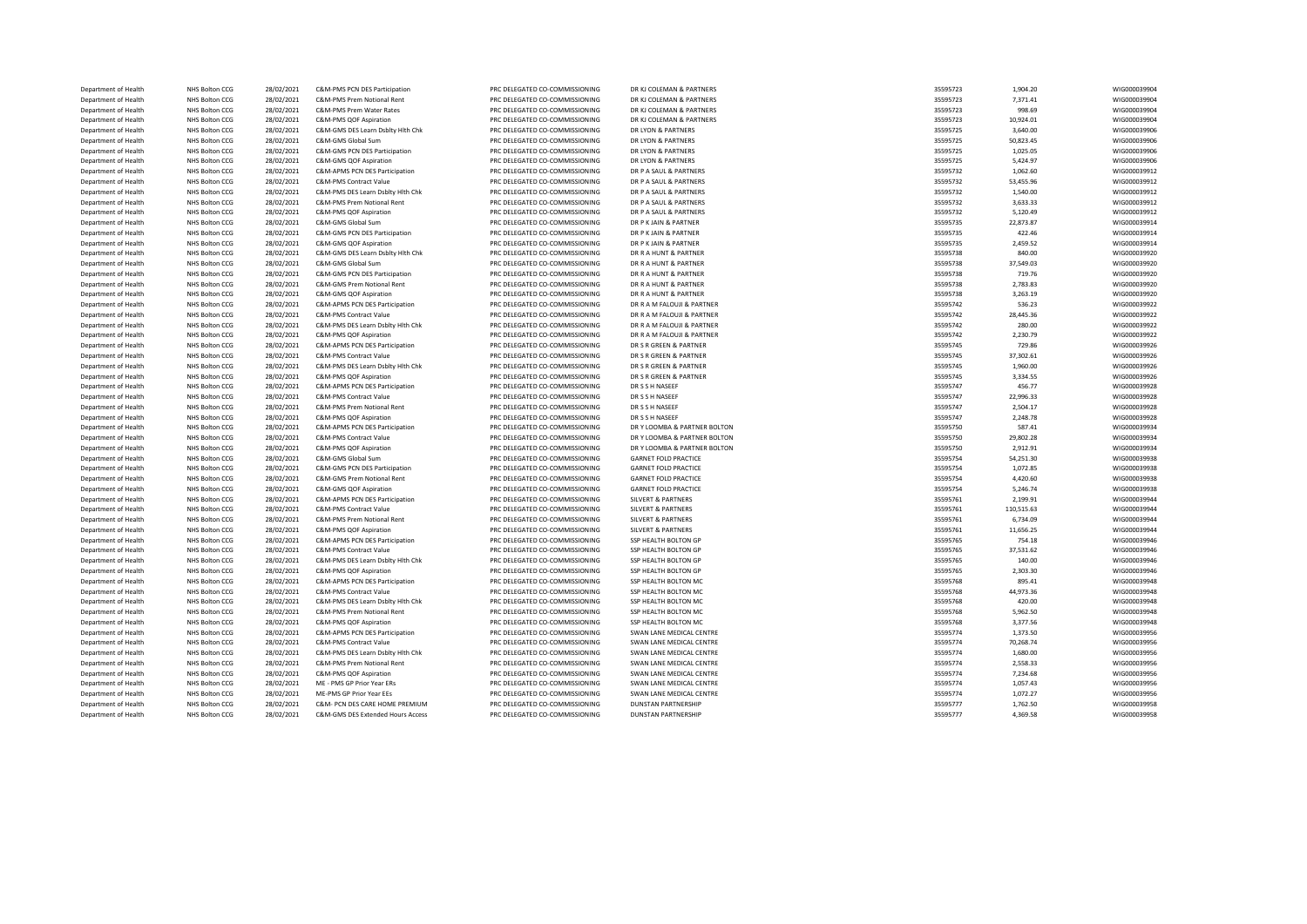| Department of Health | NHS Bolton CCG | 28/02/2021 | C&M-PMS PCN DES Participation     | PRC DELEGATED CO-COMMISSIONING | DR KJ COLEMAN & PARTNERS      | 35595723 | 1,904.20   | WIG000039904 |
|----------------------|----------------|------------|-----------------------------------|--------------------------------|-------------------------------|----------|------------|--------------|
| Department of Health | NHS Bolton CCG | 28/02/2021 | C&M-PMS Prem Notional Rent        | PRC DELEGATED CO-COMMISSIONING | DR KJ COLEMAN & PARTNERS      | 35595723 | 7,371.41   | WIG000039904 |
| Department of Health | NHS Bolton CCG | 28/02/2021 | C&M-PMS Prem Water Rates          | PRC DELEGATED CO-COMMISSIONING | DR KJ COLEMAN & PARTNERS      | 35595723 | 998.69     | WIG000039904 |
| Department of Health | NHS Bolton CCG | 28/02/2021 | C&M-PMS QOF Aspiration            | PRC DELEGATED CO-COMMISSIONING | DR KJ COLEMAN & PARTNERS      | 35595723 | 10,924.01  | WIG000039904 |
| Department of Health | NHS Bolton CCG | 28/02/2021 | C&M-GMS DES Learn Dsblty Hlth Chk | PRC DELEGATED CO-COMMISSIONING | DR LYON & PARTNERS            | 35595725 | 3,640.00   | WIG000039906 |
| Department of Health | NHS Bolton CCG | 28/02/2021 | C&M-GMS Global Sum                | PRC DELEGATED CO-COMMISSIONING | DR LYON & PARTNERS            | 35595725 | 50,823.45  | WIG000039906 |
| Department of Health | NHS Bolton CCG | 28/02/2021 | C&M-GMS PCN DES Participation     | PRC DELEGATED CO-COMMISSIONING | DR LYON & PARTNERS            | 35595725 | 1,025.05   | WIG000039906 |
| Department of Health | NHS Bolton CCG | 28/02/2021 | C&M-GMS QOF Aspiration            | PRC DELEGATED CO-COMMISSIONING | DR LYON & PARTNERS            | 35595725 | 5,424.97   | WIG000039906 |
| Department of Health | NHS Bolton CCG | 28/02/2021 | C&M-APMS PCN DES Participation    | PRC DELEGATED CO-COMMISSIONING | DR P A SAUL & PARTNERS        | 35595732 | 1,062.60   | WIG000039912 |
| Department of Health | NHS Bolton CCG | 28/02/2021 | <b>C&amp;M-PMS Contract Value</b> | PRC DELEGATED CO-COMMISSIONING | DR P A SAUL & PARTNERS        | 35595732 | 53,455.96  | WIG000039912 |
| Department of Health | NHS Bolton CCG | 28/02/2021 | C&M-PMS DES Learn Dsblty Hith Chk | PRC DELEGATED CO-COMMISSIONING | DR P A SAUL & PARTNERS        | 35595732 | 1,540.00   | WIG000039912 |
| Department of Health | NHS Bolton CCG | 28/02/2021 | C&M-PMS Prem Notional Rent        | PRC DELEGATED CO-COMMISSIONING | DR P A SAUL & PARTNERS        | 35595732 | 3,633.33   | WIG000039912 |
| Department of Health | NHS Bolton CCG | 28/02/2021 | C&M-PMS QOF Aspiration            | PRC DELEGATED CO-COMMISSIONING | DR P A SAUL & PARTNERS        | 35595732 | 5,120.49   | WIG000039912 |
| Department of Health | NHS Bolton CCG | 28/02/2021 | C&M-GMS Global Sum                | PRC DELEGATED CO-COMMISSIONING | DR P K JAIN & PARTNER         | 35595735 | 22,873.87  | WIG000039914 |
| Department of Health | NHS Bolton CCG | 28/02/2021 | C&M-GMS PCN DES Participation     | PRC DELEGATED CO-COMMISSIONING | DR P K JAIN & PARTNER         | 35595735 | 422.46     | WIG000039914 |
| Department of Health | NHS Bolton CCG | 28/02/2021 | C&M-GMS QOF Aspiration            | PRC DELEGATED CO-COMMISSIONING | DR P K JAIN & PARTNER         | 35595735 | 2,459.52   | WIG000039914 |
| Department of Health | NHS Bolton CCG | 28/02/2021 | C&M-GMS DES Learn Dsblty Hlth Chk | PRC DELEGATED CO-COMMISSIONING | DR R A HUNT & PARTNER         | 35595738 | 840.00     | WIG000039920 |
| Department of Health | NHS Bolton CCG | 28/02/2021 | C&M-GMS Global Sum                | PRC DELEGATED CO-COMMISSIONING | DR R A HUNT & PARTNER         | 35595738 | 37,549.03  | WIG000039920 |
| Department of Health | NHS Bolton CCG | 28/02/2021 | C&M-GMS PCN DES Participation     | PRC DELEGATED CO-COMMISSIONING | DR R A HUNT & PARTNER         | 35595738 | 719.76     | WIG000039920 |
| Department of Health | NHS Bolton CCG | 28/02/2021 | C&M-GMS Prem Notional Rent        | PRC DELEGATED CO-COMMISSIONING | DR R A HUNT & PARTNER         | 35595738 | 2,783.83   | WIG000039920 |
| Department of Health | NHS Bolton CCG | 28/02/2021 | C&M-GMS QOF Aspiration            | PRC DELEGATED CO-COMMISSIONING | DR R A HUNT & PARTNER         | 35595738 | 3,263.19   | WIG000039920 |
| Department of Health | NHS Bolton CCG | 28/02/2021 | C&M-APMS PCN DES Participation    | PRC DELEGATED CO-COMMISSIONING | DR R A M FALOUJI & PARTNER    | 35595742 | 536.23     | WIG000039922 |
| Department of Health | NHS Bolton CCG | 28/02/2021 | C&M-PMS Contract Value            | PRC DELEGATED CO-COMMISSIONING | DR R A M FALOUJI & PARTNER    | 35595742 | 28,445.36  | WIG000039922 |
| Department of Health | NHS Bolton CCG | 28/02/2021 | C&M-PMS DES Learn Dsblty Hith Chk | PRC DELEGATED CO-COMMISSIONING | DR R A M FALOUJI & PARTNER    | 35595742 | 280.00     | WIG000039922 |
| Department of Health | NHS Bolton CCG | 28/02/2021 | C&M-PMS QOF Aspiration            | PRC DELEGATED CO-COMMISSIONING | DR R A M FALOUJI & PARTNER    | 35595742 | 2,230.79   | WIG000039922 |
| Department of Health | NHS Bolton CCG | 28/02/2021 | C&M-APMS PCN DES Participation    | PRC DELEGATED CO-COMMISSIONING | DR S R GREEN & PARTNER        | 35595745 | 729.86     | WIG000039926 |
| Department of Health | NHS Bolton CCG | 28/02/2021 | C&M-PMS Contract Value            | PRC DELEGATED CO-COMMISSIONING | DR S R GREEN & PARTNER        | 35595745 | 37,302.61  | WIG000039926 |
| Department of Health | NHS Bolton CCG | 28/02/2021 | C&M-PMS DES Learn Dsblty Hlth Chk | PRC DELEGATED CO-COMMISSIONING | DR S R GREEN & PARTNER        | 35595745 | 1,960.00   | WIG000039926 |
| Department of Health | NHS Bolton CCG | 28/02/2021 | C&M-PMS QOF Aspiration            | PRC DELEGATED CO-COMMISSIONING | DR S R GREEN & PARTNER        | 35595745 | 3,334.55   | WIG000039926 |
| Department of Health | NHS Bolton CCG | 28/02/2021 | C&M-APMS PCN DES Participation    | PRC DELEGATED CO-COMMISSIONING | DR S S H NASEEF               | 35595747 | 456.77     | WIG000039928 |
| Department of Health | NHS Bolton CCG | 28/02/2021 | C&M-PMS Contract Value            | PRC DELEGATED CO-COMMISSIONING | DR S S H NASEEF               | 35595747 | 22,996.33  | WIG000039928 |
| Department of Health | NHS Bolton CCG | 28/02/2021 | C&M-PMS Prem Notional Rent        | PRC DELEGATED CO-COMMISSIONING | DR S S H NASEEF               | 35595747 | 2,504.17   | WIG000039928 |
| Department of Health | NHS Bolton CCG | 28/02/2021 | C&M-PMS QOF Aspiration            | PRC DELEGATED CO-COMMISSIONING | DR S S H NASEEF               | 35595747 | 2,248.78   | WIG000039928 |
| Department of Health | NHS Bolton CCG | 28/02/2021 | C&M-APMS PCN DES Participation    | PRC DELEGATED CO-COMMISSIONING | DR Y LOOMBA & PARTNER BOLTON  | 35595750 | 587.41     | WIG000039934 |
| Department of Health | NHS Bolton CCG | 28/02/2021 | C&M-PMS Contract Value            | PRC DELEGATED CO-COMMISSIONING | DR Y LOOMBA & PARTNER BOLTON  | 35595750 | 29,802.28  | WIG000039934 |
| Department of Health | NHS Bolton CCG | 28/02/2021 | C&M-PMS OOF Aspiration            | PRC DELEGATED CO-COMMISSIONING | DR Y LOOMBA & PARTNER BOLTON  | 35595750 | 2,912.91   | WIG000039934 |
| Department of Health | NHS Bolton CCG | 28/02/2021 | C&M-GMS Global Sum                | PRC DELEGATED CO-COMMISSIONING | <b>GARNET FOLD PRACTICE</b>   | 35595754 | 54,251.30  | WIG000039938 |
| Department of Health | NHS Bolton CCG | 28/02/2021 | C&M-GMS PCN DES Participation     | PRC DELEGATED CO-COMMISSIONING | <b>GARNET FOLD PRACTICE</b>   | 35595754 | 1,072.85   | WIG000039938 |
| Department of Health | NHS Bolton CCG | 28/02/2021 | C&M-GMS Prem Notional Rent        | PRC DELEGATED CO-COMMISSIONING | <b>GARNET FOLD PRACTICE</b>   | 35595754 | 4,420.60   | WIG000039938 |
| Department of Health | NHS Bolton CCG | 28/02/2021 | C&M-GMS QOF Aspiration            | PRC DELEGATED CO-COMMISSIONING | <b>GARNET FOLD PRACTICE</b>   | 35595754 | 5,246.74   | WIG000039938 |
| Department of Health | NHS Bolton CCG | 28/02/2021 | C&M-APMS PCN DES Participation    | PRC DELEGATED CO-COMMISSIONING | <b>SILVERT &amp; PARTNERS</b> | 35595761 | 2,199.91   | WIG000039944 |
| Department of Health | NHS Bolton CCG | 28/02/2021 | C&M-PMS Contract Value            | PRC DELEGATED CO-COMMISSIONING | <b>SILVERT &amp; PARTNERS</b> | 35595761 | 110,515.63 | WIG000039944 |
| Department of Health | NHS Bolton CCG | 28/02/2021 | C&M-PMS Prem Notional Rent        | PRC DELEGATED CO-COMMISSIONING | <b>SILVERT &amp; PARTNERS</b> | 35595761 | 6,734.09   | WIG000039944 |
| Department of Health | NHS Bolton CCG | 28/02/2021 | C&M-PMS QOF Aspiration            | PRC DELEGATED CO-COMMISSIONING | <b>SILVERT &amp; PARTNERS</b> | 35595761 | 11,656.25  | WIG000039944 |
| Department of Health | NHS Bolton CCG | 28/02/2021 | C&M-APMS PCN DES Participation    | PRC DELEGATED CO-COMMISSIONING | SSP HEALTH BOLTON GP          | 35595765 | 754.18     | WIG000039946 |
| Department of Health | NHS Bolton CCG | 28/02/2021 | C&M-PMS Contract Value            | PRC DELEGATED CO-COMMISSIONING | SSP HEALTH BOLTON GP          | 35595765 | 37,531.62  | WIG000039946 |
| Department of Health | NHS Bolton CCG | 28/02/2021 | C&M-PMS DES Learn Dsblty Hlth Chk | PRC DELEGATED CO-COMMISSIONING | SSP HEALTH BOLTON GP          | 35595765 | 140.00     | WIG000039946 |
| Department of Health | NHS Bolton CCG | 28/02/2021 | C&M-PMS QOF Aspiration            | PRC DELEGATED CO-COMMISSIONING | SSP HEALTH BOLTON GP          | 35595765 | 2,303.30   | WIG000039946 |
| Department of Health | NHS Bolton CCG | 28/02/2021 | C&M-APMS PCN DES Participation    | PRC DELEGATED CO-COMMISSIONING | SSP HEALTH BOLTON MC          | 35595768 | 895.41     | WIG000039948 |
| Department of Health | NHS Bolton CCG | 28/02/2021 | C&M-PMS Contract Value            | PRC DELEGATED CO-COMMISSIONING | SSP HEALTH BOLTON MC          | 35595768 | 44,973.36  | WIG000039948 |
| Department of Health | NHS Bolton CCG | 28/02/2021 | C&M-PMS DES Learn Dsblty Hith Chk | PRC DELEGATED CO-COMMISSIONING | SSP HEALTH BOLTON MC          | 35595768 | 420.00     | WIG000039948 |
| Department of Health | NHS Bolton CCG | 28/02/2021 | C&M-PMS Prem Notional Rent        | PRC DELEGATED CO-COMMISSIONING | SSP HEALTH BOLTON MC          | 35595768 | 5,962.50   | WIG000039948 |
| Department of Health | NHS Bolton CCG | 28/02/2021 | C&M-PMS QOF Aspiration            | PRC DELEGATED CO-COMMISSIONING | SSP HEALTH BOLTON MC          | 35595768 | 3,377.56   | WIG000039948 |
| Department of Health | NHS Bolton CCG | 28/02/2021 | C&M-APMS PCN DES Participation    | PRC DELEGATED CO-COMMISSIONING | SWAN LANE MEDICAL CENTRE      | 35595774 | 1,373.50   | WIG000039956 |
| Department of Health | NHS Bolton CCG | 28/02/2021 | C&M-PMS Contract Value            | PRC DELEGATED CO-COMMISSIONING | SWAN LANE MEDICAL CENTRE      | 35595774 | 70,268.74  | WIG000039956 |
| Department of Health | NHS Bolton CCG | 28/02/2021 | C&M-PMS DES Learn Dsblty Hlth Chk | PRC DELEGATED CO-COMMISSIONING | SWAN LANE MEDICAL CENTRE      | 35595774 | 1,680.00   | WIG000039956 |
| Department of Health | NHS Bolton CCG | 28/02/2021 | C&M-PMS Prem Notional Rent        | PRC DELEGATED CO-COMMISSIONING | SWAN LANE MEDICAL CENTRE      | 35595774 | 2,558.33   | WIG000039956 |
| Department of Health | NHS Bolton CCG | 28/02/2021 | C&M-PMS QOF Aspiration            | PRC DELEGATED CO-COMMISSIONING | SWAN LANE MEDICAL CENTRE      | 35595774 | 7,234.68   | WIG000039956 |
| Department of Health | NHS Bolton CCG | 28/02/2021 | ME - PMS GP Prior Year ERs        | PRC DELEGATED CO-COMMISSIONING | SWAN LANE MEDICAL CENTRE      | 35595774 | 1,057.43   | WIG000039956 |
| Department of Health | NHS Bolton CCG | 28/02/2021 | ME-PMS GP Prior Year EEs          | PRC DELEGATED CO-COMMISSIONING | SWAN LANE MEDICAL CENTRE      | 35595774 | 1,072.27   | WIG000039956 |
| Department of Health | NHS Bolton CCG | 28/02/2021 | C&M- PCN DES CARE HOME PREMIUM    | PRC DELEGATED CO-COMMISSIONING | <b>DUNSTAN PARTNERSHIP</b>    | 35595777 | 1.762.50   | WIG000039958 |
| Department of Health | NHS Bolton CCG | 28/02/2021 | C&M-GMS DES Extended Hours Access | PRC DELEGATED CO-COMMISSIONING | <b>DUNSTAN PARTNERSHIP</b>    | 35595777 | 4,369.58   | WIG000039958 |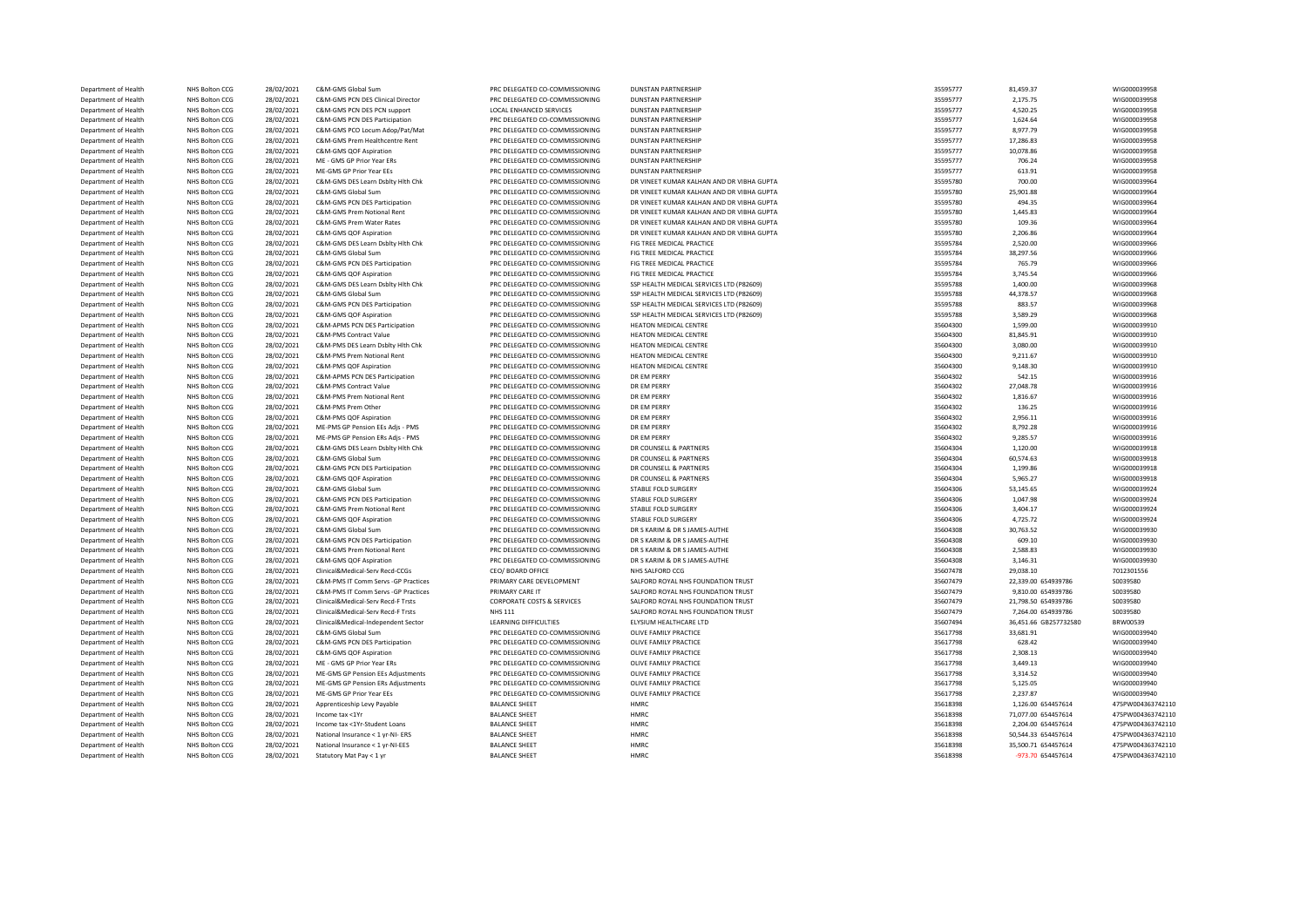| Department of Health                         | NHS Bolton CCG                   | 28/02/2021               | C&M-GMS Global Sum                                      | PRC DELEGATED CO-COMMISSIONING                                   | <b>DUNSTAN PARTNERSHIP</b>                             | 35595777             | 81,459.37             | WIG000039958                 |
|----------------------------------------------|----------------------------------|--------------------------|---------------------------------------------------------|------------------------------------------------------------------|--------------------------------------------------------|----------------------|-----------------------|------------------------------|
| Department of Health                         | NHS Bolton CCG                   | 28/02/2021               | C&M-GMS PCN DES Clinical Director                       | PRC DELEGATED CO-COMMISSIONING                                   | <b>DUNSTAN PARTNERSHIP</b>                             | 35595777             | 2,175.75              | WIG000039958                 |
| Department of Health                         | NHS Bolton CCG                   | 28/02/2021               | C&M-GMS PCN DES PCN support                             | LOCAL ENHANCED SERVICES                                          | <b>DUNSTAN PARTNERSHIP</b>                             | 35595777             | 4,520.25              | WIG000039958                 |
| Department of Health                         | NHS Bolton CCG                   | 28/02/2021               | C&M-GMS PCN DES Participation                           | PRC DELEGATED CO-COMMISSIONING                                   | <b>DUNSTAN PARTNERSHIP</b>                             | 35595777             | 1,624.64              | WIG000039958                 |
| Department of Health                         | NHS Bolton CCG                   | 28/02/2021               | C&M-GMS PCO Locum Adop/Pat/Mat                          | PRC DELEGATED CO-COMMISSIONING                                   | <b>DUNSTAN PARTNERSHIP</b>                             | 35595777             | 8,977.79              | WIG000039958                 |
| Department of Health                         | NHS Bolton CCG                   | 28/02/2021               | C&M-GMS Prem Healthcentre Rent                          | PRC DELEGATED CO-COMMISSIONING                                   | <b>DUNSTAN PARTNERSHIP</b>                             | 35595777             | 17,286.83             | WIG000039958                 |
| Department of Health                         | NHS Bolton CCG                   | 28/02/2021               | C&M-GMS QOF Aspiration                                  | PRC DELEGATED CO-COMMISSIONING                                   | <b>DUNSTAN PARTNERSHIP</b>                             | 35595777             | 10,078.86             | WIG000039958                 |
| Department of Health                         | NHS Bolton CCG                   | 28/02/2021               | ME - GMS GP Prior Year ERs                              | PRC DELEGATED CO-COMMISSIONING                                   | <b>DUNSTAN PARTNERSHIP</b>                             | 35595777             | 706.24                | WIG000039958                 |
| Department of Health                         | NHS Bolton CCG                   | 28/02/2021               | ME-GMS GP Prior Year EEs                                | PRC DELEGATED CO-COMMISSIONING                                   | <b>DUNSTAN PARTNERSHIP</b>                             | 35595777             | 613.91                | WIG000039958                 |
| Department of Health                         | NHS Bolton CCG                   | 28/02/2021               | C&M-GMS DES Learn Dsblty Hlth Chk                       | PRC DELEGATED CO-COMMISSIONING                                   | DR VINEET KUMAR KALHAN AND DR VIBHA GUPTA              | 35595780             | 700.00                | WIG000039964                 |
| Department of Health                         | NHS Bolton CCG                   | 28/02/2021               | C&M-GMS Global Sum                                      | PRC DELEGATED CO-COMMISSIONING                                   | DR VINEET KUMAR KALHAN AND DR VIBHA GUPTA              | 35595780             | 25,901.88             | WIG000039964                 |
| Department of Health                         | NHS Bolton CCG                   | 28/02/2021               | C&M-GMS PCN DES Participation                           | PRC DELEGATED CO-COMMISSIONING                                   | DR VINEET KUMAR KALHAN AND DR VIBHA GUPTA              | 35595780             | 494.35                | WIG000039964                 |
| Department of Health                         | NHS Bolton CCG                   | 28/02/2021               | C&M-GMS Prem Notional Rent                              | PRC DELEGATED CO-COMMISSIONING                                   | DR VINEET KUMAR KALHAN AND DR VIBHA GUPTA              | 35595780             | 1,445.83              | WIG000039964                 |
| Department of Health                         | NHS Bolton CCG                   | 28/02/2021               | C&M-GMS Prem Water Rates                                | PRC DELEGATED CO-COMMISSIONING                                   | DR VINEET KUMAR KALHAN AND DR VIBHA GUPTA              | 35595780             | 109.36                | WIG000039964                 |
| Department of Health                         | NHS Bolton CCG                   | 28/02/2021               | C&M-GMS QOF Aspiration                                  | PRC DELEGATED CO-COMMISSIONING                                   | DR VINEET KUMAR KALHAN AND DR VIBHA GUPTA              | 35595780             | 2,206.86              | WIG000039964                 |
| Department of Health<br>Department of Health | NHS Bolton CCG<br>NHS Bolton CCG | 28/02/2021<br>28/02/2021 | C&M-GMS DES Learn Dsblty Hlth Chk<br>C&M-GMS Global Sum | PRC DELEGATED CO-COMMISSIONING<br>PRC DELEGATED CO-COMMISSIONING | FIG TREE MEDICAL PRACTICE<br>FIG TREE MEDICAL PRACTICE | 35595784<br>35595784 | 2,520.00<br>38,297.56 | WIG000039966<br>WIG000039966 |
|                                              |                                  |                          |                                                         |                                                                  |                                                        |                      |                       |                              |
| Department of Health<br>Department of Health | NHS Bolton CCG<br>NHS Bolton CCG | 28/02/2021<br>28/02/2021 | C&M-GMS PCN DES Participation<br>C&M-GMS QOF Aspiration | PRC DELEGATED CO-COMMISSIONING<br>PRC DELEGATED CO-COMMISSIONING | FIG TREE MEDICAL PRACTICE<br>FIG TREE MEDICAL PRACTICE | 35595784<br>35595784 | 765.79<br>3,745.54    | WIG000039966<br>WIG000039966 |
| Department of Health                         | NHS Bolton CCG                   | 28/02/2021               | C&M-GMS DES Learn Dsblty Hlth Chk                       | PRC DELEGATED CO-COMMISSIONING                                   | SSP HEALTH MEDICAL SERVICES LTD (P82609)               | 35595788             | 1,400.00              | WIG000039968                 |
| Department of Health                         | NHS Bolton CCG                   | 28/02/2021               | C&M-GMS Global Sum                                      | PRC DELEGATED CO-COMMISSIONING                                   | SSP HEALTH MEDICAL SERVICES LTD (P82609)               | 35595788             | 44,378.57             | WIG000039968                 |
| Department of Health                         | NHS Bolton CCG                   | 28/02/2021               | C&M-GMS PCN DES Participation                           | PRC DELEGATED CO-COMMISSIONING                                   | SSP HEALTH MEDICAL SERVICES LTD (P82609)               | 35595788             | 883.57                | WIG000039968                 |
| Department of Health                         | NHS Bolton CCG                   | 28/02/2021               | C&M-GMS QOF Aspiration                                  | PRC DELEGATED CO-COMMISSIONING                                   | SSP HEALTH MEDICAL SERVICES LTD (P82609)               | 35595788             | 3,589.29              | WIG000039968                 |
| Department of Health                         | NHS Bolton CCG                   | 28/02/2021               | C&M-APMS PCN DES Participation                          | PRC DELEGATED CO-COMMISSIONING                                   | HEATON MEDICAL CENTRE                                  | 35604300             | 1,599.00              | WIG000039910                 |
| Department of Health                         | NHS Bolton CCG                   | 28/02/2021               | C&M-PMS Contract Value                                  | PRC DELEGATED CO-COMMISSIONING                                   | HEATON MEDICAL CENTRE                                  | 35604300             | 81,845.91             | WIG000039910                 |
| Department of Health                         | NHS Bolton CCG                   | 28/02/2021               | C&M-PMS DES Learn Dsblty Hith Chk                       | PRC DELEGATED CO-COMMISSIONING                                   | HEATON MEDICAL CENTRE                                  | 35604300             | 3,080.00              | WIG000039910                 |
| Department of Health                         | NHS Bolton CCG                   | 28/02/2021               | C&M-PMS Prem Notional Rent                              | PRC DELEGATED CO-COMMISSIONING                                   | HEATON MEDICAL CENTRE                                  | 35604300             | 9,211.67              | WIG000039910                 |
| Department of Health                         | NHS Bolton CCG                   | 28/02/2021               | C&M-PMS QOF Aspiration                                  | PRC DELEGATED CO-COMMISSIONING                                   | HEATON MEDICAL CENTRE                                  | 35604300             | 9,148.30              | WIG000039910                 |
| Department of Health                         | NHS Bolton CCG                   | 28/02/2021               | C&M-APMS PCN DES Participation                          | PRC DELEGATED CO-COMMISSIONING                                   | DR EM PERRY                                            | 35604302             | 542.15                | WIG000039916                 |
| Department of Health                         | NHS Bolton CCG                   | 28/02/2021               | C&M-PMS Contract Value                                  | PRC DELEGATED CO-COMMISSIONING                                   | DR EM PERRY                                            | 35604302             | 27,048.78             | WIG000039916                 |
| Department of Health                         | NHS Bolton CCG                   | 28/02/2021               | C&M-PMS Prem Notional Rent                              | PRC DELEGATED CO-COMMISSIONING                                   | DR EM PERRY                                            | 35604302             | 1,816.67              | WIG000039916                 |
| Department of Health                         | NHS Bolton CCG                   | 28/02/2021               | C&M-PMS Prem Other                                      | PRC DELEGATED CO-COMMISSIONING                                   | DR EM PERRY                                            | 35604302             | 136.25                | WIG000039916                 |
| Department of Health                         | NHS Bolton CCG                   | 28/02/2021               | C&M-PMS QOF Aspiration                                  | PRC DELEGATED CO-COMMISSIONING                                   | DR EM PERRY                                            | 35604302             | 2,956.11              | WIG000039916                 |
| Department of Health                         | NHS Bolton CCG                   | 28/02/2021               | ME-PMS GP Pension EEs Adjs - PMS                        | PRC DELEGATED CO-COMMISSIONING                                   | DR EM PERRY                                            | 35604302             | 8,792.28              | WIG000039916                 |
| Department of Health                         | NHS Bolton CCG                   | 28/02/2021               | ME-PMS GP Pension ERs Adjs - PMS                        | PRC DELEGATED CO-COMMISSIONING                                   | DR EM PERRY                                            | 35604302             | 9,285.57              | WIG000039916                 |
| Department of Health                         | NHS Bolton CCG                   | 28/02/2021               | C&M-GMS DES Learn Dsblty Hlth Chk                       | PRC DELEGATED CO-COMMISSIONING                                   | DR COUNSELL & PARTNERS                                 | 35604304             | 1,120.00              | WIG000039918                 |
| Department of Health                         | NHS Bolton CCG                   | 28/02/2021               | C&M-GMS Global Sum                                      | PRC DELEGATED CO-COMMISSIONING                                   | DR COUNSELL & PARTNERS                                 | 35604304             | 60,574.63             | WIG000039918                 |
| Department of Health                         | NHS Bolton CCG                   | 28/02/2021               | C&M-GMS PCN DES Participation                           | PRC DELEGATED CO-COMMISSIONING                                   | DR COUNSELL & PARTNERS                                 | 35604304             | 1,199.86              | WIG000039918                 |
| Department of Health                         | NHS Bolton CCG                   | 28/02/2021               | C&M-GMS QOF Aspiration                                  | PRC DELEGATED CO-COMMISSIONING                                   | DR COUNSELL & PARTNERS                                 | 35604304             | 5,965.27              | WIG000039918                 |
| Department of Health                         | NHS Bolton CCG                   | 28/02/2021               | C&M-GMS Global Sum                                      | PRC DELEGATED CO-COMMISSIONING                                   | STABLE FOLD SURGERY                                    | 35604306             | 53,145.65             | WIG000039924                 |
| Department of Health                         | NHS Bolton CCG                   | 28/02/2021               | C&M-GMS PCN DES Participation                           | PRC DELEGATED CO-COMMISSIONING                                   | STABLE FOLD SURGERY                                    | 35604306             | 1,047.98              | WIG000039924                 |
| Department of Health                         | NHS Bolton CCG                   | 28/02/2021               | C&M-GMS Prem Notional Rent                              | PRC DELEGATED CO-COMMISSIONING                                   | STABLE FOLD SURGERY                                    | 35604306             | 3,404.17              | WIG000039924                 |
| Department of Health                         | NHS Bolton CCG                   | 28/02/2021               | C&M-GMS QOF Aspiration                                  | PRC DELEGATED CO-COMMISSIONING                                   | STABLE FOLD SURGERY                                    | 35604306             | 4,725.72              | WIG000039924                 |
| Department of Health                         | NHS Bolton CCG                   | 28/02/2021               | C&M-GMS Global Sum                                      | PRC DELEGATED CO-COMMISSIONING                                   | DR S KARIM & DR S JAMES-AUTHE                          | 35604308             | 30,763.52             | WIG000039930                 |
| Department of Health                         | NHS Bolton CCG                   | 28/02/2021               | C&M-GMS PCN DES Participation                           | PRC DELEGATED CO-COMMISSIONING                                   | DR S KARIM & DR S JAMES-AUTHE                          | 35604308             | 609.10                | WIG000039930                 |
| Department of Health                         | NHS Bolton CCG                   | 28/02/2021               | C&M-GMS Prem Notional Rent                              | PRC DELEGATED CO-COMMISSIONING                                   | DR S KARIM & DR S JAMES-AUTHE                          | 35604308             | 2,588.83              | WIG000039930                 |
| Department of Health                         | NHS Bolton CCG                   | 28/02/2021               | C&M-GMS QOF Aspiration                                  | PRC DELEGATED CO-COMMISSIONING                                   | DR S KARIM & DR S JAMES-AUTHE                          | 35604308             | 3,146.31              | WIG000039930                 |
| Department of Health                         | NHS Bolton CCG                   | 28/02/2021               | Clinical&Medical-Serv Recd-CCGs                         | CEO/ BOARD OFFICE                                                | NHS SALFORD CCG                                        | 35607478             | 29,038.10             | 7012301556                   |
| Department of Health                         | NHS Bolton CCG                   | 28/02/2021               | C&M-PMS IT Comm Servs -GP Practices                     | PRIMARY CARE DEVELOPMENT                                         | SALFORD ROYAL NHS FOUNDATION TRUST                     | 35607479             | 22,339.00 654939786   | S0039580                     |
| Department of Health                         | NHS Bolton CCG                   | 28/02/2021               | C&M-PMS IT Comm Servs -GP Practices                     | PRIMARY CARE IT                                                  | SALFORD ROYAL NHS FOUNDATION TRUST                     | 35607479             | 9,810.00 654939786    | S0039580                     |
| <b>Department of Health</b>                  | NHS Bolton CCG                   | 28/02/2021               | Clinical&Medical-Serv Recd-F Trsts                      | <b>CORPORATE COSTS &amp; SERVICES</b>                            | SALFORD ROYAL NHS FOUNDATION TRUST                     | 35607479             | 21.798.50 654939786   | S0039580                     |
| Department of Health                         | NHS Bolton CCG                   | 28/02/2021               | Clinical&Medical-Serv Recd-F Trsts                      | <b>NHS 111</b>                                                   | SALFORD ROYAL NHS FOUNDATION TRUST                     | 35607479             | 7,264.00 654939786    | S0039580                     |
| Department of Health                         | NHS Bolton CCG                   | 28/02/2021               | Clinical&Medical-Independent Sector                     | LEARNING DIFFICULTIES                                            | ELYSIUM HEALTHCARE LTD                                 | 35607494             | 36,451.66 GB257732580 | BRW00539                     |
| Department of Health                         | NHS Bolton CCG                   | 28/02/2021               | C&M-GMS Global Sum                                      | PRC DELEGATED CO-COMMISSIONING                                   | OLIVE FAMILY PRACTICE                                  | 35617798             | 33,681.91             | WIG000039940                 |
| Department of Health                         | NHS Bolton CCG                   | 28/02/2021               | C&M-GMS PCN DES Participation                           | PRC DELEGATED CO-COMMISSIONING                                   | OLIVE FAMILY PRACTICE                                  | 35617798             | 628.42                | WIG000039940                 |
| Department of Health                         | NHS Bolton CCG                   | 28/02/2021               | C&M-GMS QOF Aspiration                                  | PRC DELEGATED CO-COMMISSIONING                                   | OLIVE FAMILY PRACTICE                                  | 35617798             | 2,308.13              | WIG000039940                 |
| Department of Health                         | NHS Bolton CCG                   | 28/02/2021               | ME - GMS GP Prior Year ERs                              | PRC DELEGATED CO-COMMISSIONING                                   | OLIVE FAMILY PRACTICE                                  | 35617798             | 3,449.13              | WIG000039940                 |
| Department of Health                         | NHS Bolton CCG                   | 28/02/2021               | ME-GMS GP Pension EEs Adjustments                       | PRC DELEGATED CO-COMMISSIONING                                   | OLIVE FAMILY PRACTICE                                  | 35617798             | 3,314.52              | WIG000039940                 |
| Department of Health                         | NHS Bolton CCG                   | 28/02/2021               | ME-GMS GP Pension ERs Adjustments                       | PRC DELEGATED CO-COMMISSIONING                                   | OLIVE FAMILY PRACTICE                                  | 35617798             | 5,125.05              | WIG000039940                 |
| Department of Health                         | NHS Bolton CCG                   | 28/02/2021               | ME-GMS GP Prior Year EEs                                | PRC DELEGATED CO-COMMISSIONING                                   | OLIVE FAMILY PRACTICE                                  | 35617798             | 2,237.87              | WIG000039940                 |
| Department of Health                         | NHS Bolton CCG                   | 28/02/2021               | Apprenticeship Levy Payable                             | <b>BALANCE SHEET</b>                                             | HMRC                                                   | 35618398             | 1,126.00 654457614    | 475PW004363742110            |
| Department of Health                         | NHS Bolton CCG                   | 28/02/2021               | Income tax <1Yr                                         | <b>BALANCE SHEET</b>                                             | HMRC                                                   | 35618398             | 71,077.00 654457614   | 475PW004363742110            |
| Department of Health                         | NHS Bolton CCG                   | 28/02/2021               | Income tax <1Yr-Student Loans                           | <b>BALANCE SHEET</b>                                             | HMRC                                                   | 35618398             | 2,204.00 654457614    | 475PW004363742110            |
| Department of Health                         | NHS Bolton CCG                   | 28/02/2021               | National Insurance < 1 yr-NI- ERS                       | <b>BALANCE SHEET</b>                                             | HMRC                                                   | 35618398             | 50,544.33 654457614   | 475PW004363742110            |
| Department of Health                         | NHS Bolton CCG                   | 28/02/2021               | National Insurance < 1 yr-NI-EES                        | <b>BALANCE SHEET</b>                                             | <b>HMRC</b>                                            | 35618398             | 35,500.71 654457614   | 475PW004363742110            |
| Department of Health                         | NHS Bolton CCG                   | 28/02/2021               | Statutory Mat Pay < 1 yr                                | <b>BALANCE SHEET</b>                                             | HMRC                                                   | 35618398             | -973.70 654457614     | 475PW004363742110            |